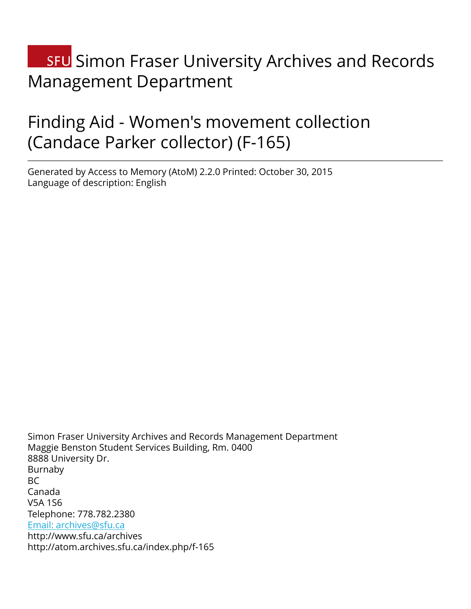# **SFU** Simon Fraser University Archives and Records Management Department

# Finding Aid - Women's movement collection (Candace Parker collector) (F-165)

Generated by Access to Memory (AtoM) 2.2.0 Printed: October 30, 2015 Language of description: English

Simon Fraser University Archives and Records Management Department Maggie Benston Student Services Building, Rm. 0400 8888 University Dr. Burnaby  $BC$ Canada V5A 1S6 Telephone: 778.782.2380 [Email: archives@sfu.ca](mailto:Email: archives@sfu.ca) http://www.sfu.ca/archives http://atom.archives.sfu.ca/index.php/f-165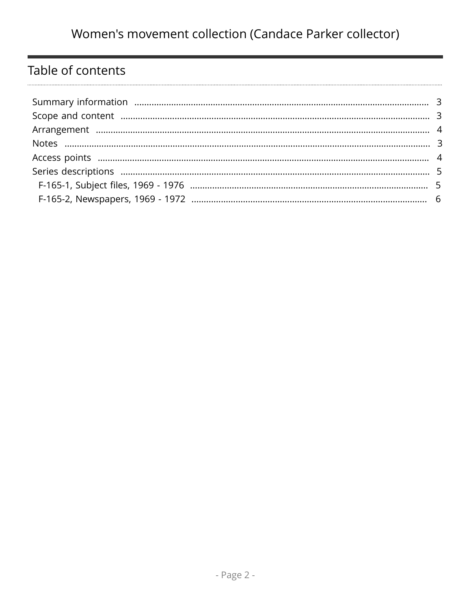# Table of contents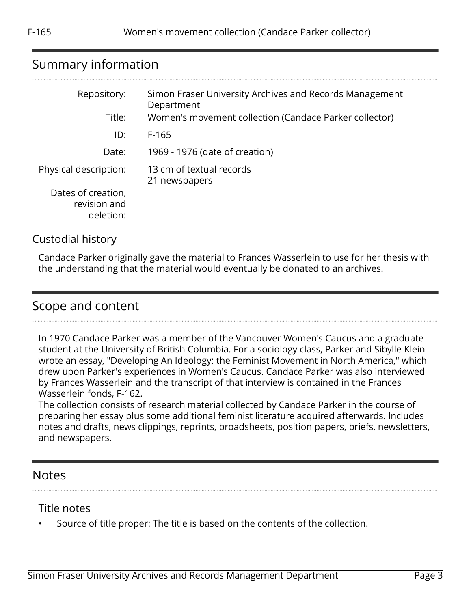# <span id="page-2-0"></span>Summary information

| Repository:<br>Title:                           | Simon Fraser University Archives and Records Management<br>Department<br>Women's movement collection (Candace Parker collector) |
|-------------------------------------------------|---------------------------------------------------------------------------------------------------------------------------------|
|                                                 |                                                                                                                                 |
| ID:                                             | F-165                                                                                                                           |
| Date:                                           | 1969 - 1976 (date of creation)                                                                                                  |
| Physical description:                           | 13 cm of textual records<br>21 newspapers                                                                                       |
| Dates of creation,<br>revision and<br>deletion: |                                                                                                                                 |

#### Custodial history

Candace Parker originally gave the material to Frances Wasserlein to use for her thesis with the understanding that the material would eventually be donated to an archives.

## <span id="page-2-1"></span>Scope and content

In 1970 Candace Parker was a member of the Vancouver Women's Caucus and a graduate student at the University of British Columbia. For a sociology class, Parker and Sibylle Klein wrote an essay, "Developing An Ideology: the Feminist Movement in North America," which drew upon Parker's experiences in Women's Caucus. Candace Parker was also interviewed by Frances Wasserlein and the transcript of that interview is contained in the Frances Wasserlein fonds, F-162.

The collection consists of research material collected by Candace Parker in the course of preparing her essay plus some additional feminist literature acquired afterwards. Includes notes and drafts, news clippings, reprints, broadsheets, position papers, briefs, newsletters, and newspapers.

#### <span id="page-2-2"></span>Notes

#### Title notes

Source of title proper: The title is based on the contents of the collection.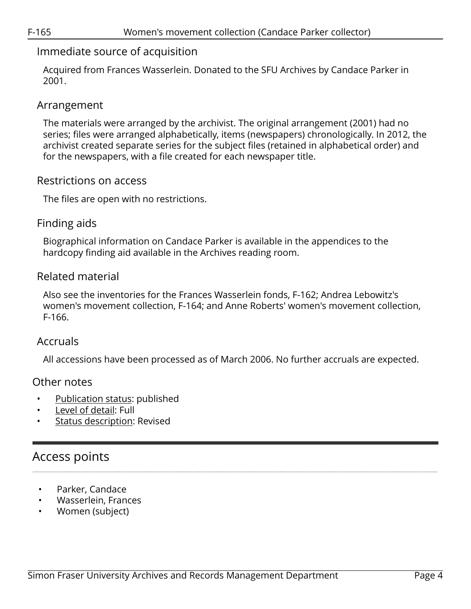#### Immediate source of acquisition

Acquired from Frances Wasserlein. Donated to the SFU Archives by Candace Parker in 2001.

#### <span id="page-3-0"></span>Arrangement

The materials were arranged by the archivist. The original arrangement (2001) had no series; files were arranged alphabetically, items (newspapers) chronologically. In 2012, the archivist created separate series for the subject files (retained in alphabetical order) and for the newspapers, with a file created for each newspaper title.

#### Restrictions on access

The files are open with no restrictions.

#### Finding aids

Biographical information on Candace Parker is available in the appendices to the hardcopy finding aid available in the Archives reading room.

### Related material

Also see the inventories for the Frances Wasserlein fonds, F-162; Andrea Lebowitz's women's movement collection, F-164; and Anne Roberts' women's movement collection, F-166.

#### Accruals

All accessions have been processed as of March 2006. No further accruals are expected.

#### Other notes

- Publication status: published
- Level of detail: Full
- Status description: Revised

# <span id="page-3-1"></span>Access points

- Parker, Candace
- Wasserlein, Frances
- Women (subject)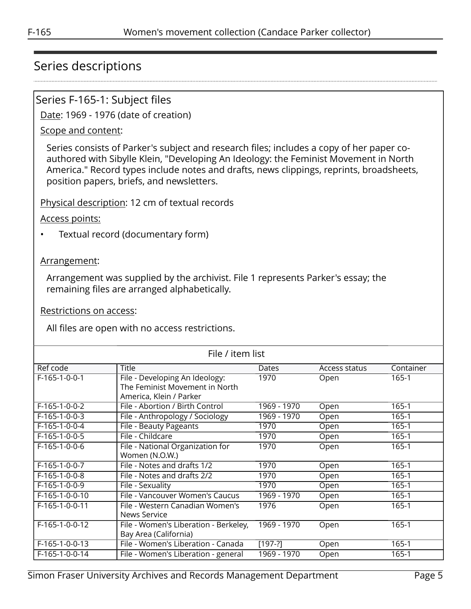## <span id="page-4-0"></span>Series descriptions

#### <span id="page-4-1"></span>Series F-165-1: Subject files

Date: 1969 - 1976 (date of creation)

#### Scope and content:

Series consists of Parker's subject and research files; includes a copy of her paper coauthored with Sibylle Klein, "Developing An Ideology: the Feminist Movement in North America." Record types include notes and drafts, news clippings, reprints, broadsheets, position papers, briefs, and newsletters.

Physical description: 12 cm of textual records

Access points:

• Textual record (documentary form)

#### Arrangement:

Arrangement was supplied by the archivist. File 1 represents Parker's essay; the remaining files are arranged alphabetically.

Restrictions on access:

All files are open with no access restrictions.

| File / item list |                                       |             |               |           |
|------------------|---------------------------------------|-------------|---------------|-----------|
| Ref code         | <b>Title</b>                          | Dates       | Access status | Container |
| $F-165-1-0-0-1$  | File - Developing An Ideology:        | 1970        | Open          | 165-1     |
|                  | The Feminist Movement in North        |             |               |           |
|                  | America, Klein / Parker               |             |               |           |
| F-165-1-0-0-2    | File - Abortion / Birth Control       | 1969 - 1970 | Open          | $165 - 1$ |
| $F-165-1-0-0-3$  | File - Anthropology / Sociology       | 1969 - 1970 | Open          | 165-1     |
| $F-165-1-0-0-4$  | File - Beauty Pageants                | 1970        | Open          | 165-1     |
| $F-165-1-0-0-5$  | File - Childcare                      | 1970        | Open          | 165-1     |
| $F-165-1-0-0-6$  | File - National Organization for      | 1970        | Open          | $165 - 1$ |
|                  | Women (N.O.W.)                        |             |               |           |
| $F-165-1-0-0-7$  | File - Notes and drafts 1/2           | 1970        | Open          | $165 - 1$ |
| F-165-1-0-0-8    | File - Notes and drafts 2/2           | 1970        | Open          | $165 - 1$ |
| F-165-1-0-0-9    | File - Sexuality                      | 1970        | Open          | $165 - 1$ |
| F-165-1-0-0-10   | File - Vancouver Women's Caucus       | 1969 - 1970 | Open          | $165 - 1$ |
| F-165-1-0-0-11   | File - Western Canadian Women's       | 1976        | Open          | $165 - 1$ |
|                  | News Service                          |             |               |           |
| F-165-1-0-0-12   | File - Women's Liberation - Berkeley, | 1969 - 1970 | Open          | 165-1     |
|                  | Bay Area (California)                 |             |               |           |
| F-165-1-0-0-13   | File - Women's Liberation - Canada    | $[197-?]$   | Open          | $165 - 1$ |
| F-165-1-0-0-14   | File - Women's Liberation - general   | 1969 - 1970 | Open          | $165 - 1$ |